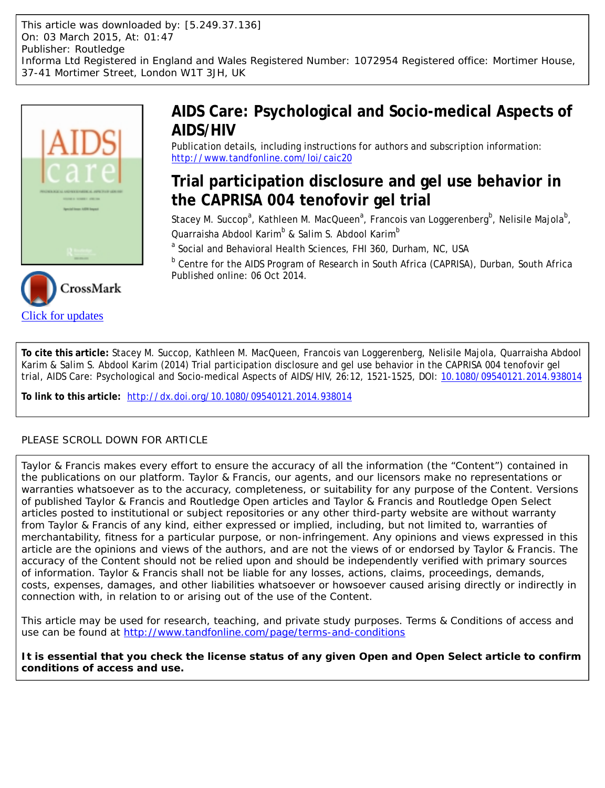This article was downloaded by: [5.249.37.136] On: 03 March 2015, At: 01:47 Publisher: Routledge Informa Ltd Registered in England and Wales Registered Number: 1072954 Registered office: Mortimer House, 37-41 Mortimer Street, London W1T 3JH, UK





[Click for updates](http://crossmark.crossref.org/dialog/?doi=10.1080/09540121.2014.938014&domain=pdf&date_stamp=2014-10-06)

# **AIDS Care: Psychological and Socio-medical Aspects of AIDS/HIV**

Publication details, including instructions for authors and subscription information: <http://www.tandfonline.com/loi/caic20>

# **Trial participation disclosure and gel use behavior in the CAPRISA 004 tenofovir gel trial**

Stacey M. Succop<sup>a</sup>, Kathleen M. MacQueen<sup>a</sup>, Francois van Loggerenberg<sup>b</sup>, Nelisile Majola<sup>b</sup>, Quarraisha Abdool Karim<sup>b</sup> & Salim S. Abdool Karim<sup>b</sup>

<sup>a</sup> Social and Behavioral Health Sciences, FHI 360, Durham, NC, USA

**b** Centre for the AIDS Program of Research in South Africa (CAPRISA), Durban, South Africa Published online: 06 Oct 2014.

**To cite this article:** Stacey M. Succop, Kathleen M. MacQueen, Francois van Loggerenberg, Nelisile Majola, Quarraisha Abdool Karim & Salim S. Abdool Karim (2014) Trial participation disclosure and gel use behavior in the CAPRISA 004 tenofovir gel trial, AIDS Care: Psychological and Socio-medical Aspects of AIDS/HIV, 26:12, 1521-1525, DOI: [10.1080/09540121.2014.938014](http://www.tandfonline.com/action/showCitFormats?doi=10.1080/09540121.2014.938014)

**To link to this article:** <http://dx.doi.org/10.1080/09540121.2014.938014>

# PLEASE SCROLL DOWN FOR ARTICLE

Taylor & Francis makes every effort to ensure the accuracy of all the information (the "Content") contained in the publications on our platform. Taylor & Francis, our agents, and our licensors make no representations or warranties whatsoever as to the accuracy, completeness, or suitability for any purpose of the Content. Versions of published Taylor & Francis and Routledge Open articles and Taylor & Francis and Routledge Open Select articles posted to institutional or subject repositories or any other third-party website are without warranty from Taylor & Francis of any kind, either expressed or implied, including, but not limited to, warranties of merchantability, fitness for a particular purpose, or non-infringement. Any opinions and views expressed in this article are the opinions and views of the authors, and are not the views of or endorsed by Taylor & Francis. The accuracy of the Content should not be relied upon and should be independently verified with primary sources of information. Taylor & Francis shall not be liable for any losses, actions, claims, proceedings, demands, costs, expenses, damages, and other liabilities whatsoever or howsoever caused arising directly or indirectly in connection with, in relation to or arising out of the use of the Content.

This article may be used for research, teaching, and private study purposes. Terms & Conditions of access and use can be found at <http://www.tandfonline.com/page/terms-and-conditions>

**It is essential that you check the license status of any given Open and Open Select article to confirm conditions of access and use.**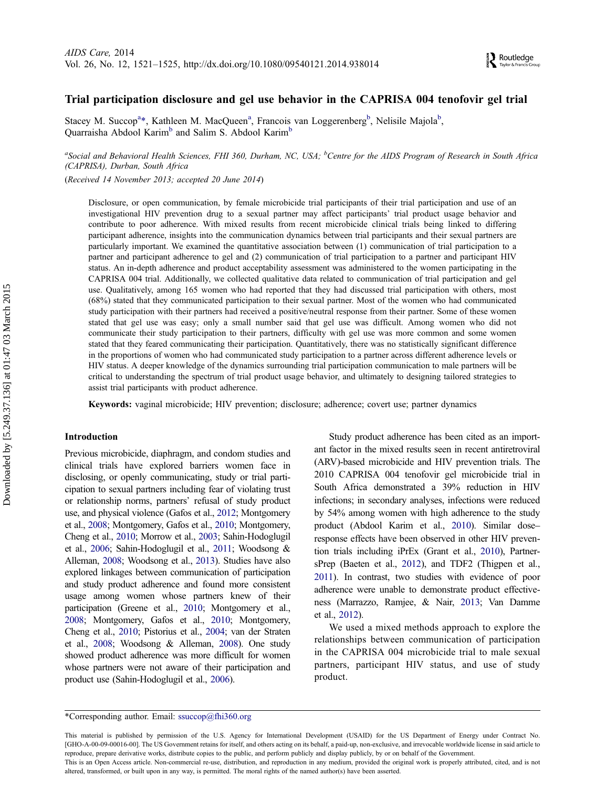# Trial participation disclosure and gel use behavior in the CAPRISA 004 tenofovir gel trial

Stacey M. Succop<sup>a\*</sup>, Kathleen M. MacQueen<sup>a</sup>, Francois van Loggerenberg<sup>b</sup>, Nelisile Majola<sup>b</sup>, Quarraisha Abdool Karim<sup>b</sup> and Salim S. Abdool Karim<sup>b</sup>

<sup>a</sup>Social and Behavioral Health Sciences, FHI 360, Durham, NC, USA; <sup>b</sup>Centre for the AIDS Program of Research in South Africa (CAPRISA), Durban, South Africa

(Received 14 November 2013; accepted 20 June 2014)

Disclosure, or open communication, by female microbicide trial participants of their trial participation and use of an investigational HIV prevention drug to a sexual partner may affect participants' trial product usage behavior and contribute to poor adherence. With mixed results from recent microbicide clinical trials being linked to differing participant adherence, insights into the communication dynamics between trial participants and their sexual partners are particularly important. We examined the quantitative association between (1) communication of trial participation to a partner and participant adherence to gel and (2) communication of trial participation to a partner and participant HIV status. An in-depth adherence and product acceptability assessment was administered to the women participating in the CAPRISA 004 trial. Additionally, we collected qualitative data related to communication of trial participation and gel use. Qualitatively, among 165 women who had reported that they had discussed trial participation with others, most (68%) stated that they communicated participation to their sexual partner. Most of the women who had communicated study participation with their partners had received a positive/neutral response from their partner. Some of these women stated that gel use was easy; only a small number said that gel use was difficult. Among women who did not communicate their study participation to their partners, difficulty with gel use was more common and some women stated that they feared communicating their participation. Quantitatively, there was no statistically significant difference in the proportions of women who had communicated study participation to a partner across different adherence levels or HIV status. A deeper knowledge of the dynamics surrounding trial participation communication to male partners will be critical to understanding the spectrum of trial product usage behavior, and ultimately to designing tailored strategies to assist trial participants with product adherence.

Keywords: vaginal microbicide; HIV prevention; disclosure; adherence; covert use; partner dynamics

#### Introduction

Previous microbicide, diaphragm, and condom studies and clinical trials have explored barriers women face in disclosing, or openly communicating, study or trial participation to sexual partners including fear of violating trust or relationship norms, partners' refusal of study product use, and physical violence (Gafos et al., [2012;](#page-4-0) Montgomery et al., [2008;](#page-5-0) Montgomery, Gafos et al., [2010;](#page-5-0) Montgomery, Cheng et al., [2010](#page-5-0); Morrow et al., [2003](#page-5-0); Sahin-Hodoglugil et al., [2006](#page-5-0); Sahin-Hodoglugil et al., [2011;](#page-5-0) Woodsong & Alleman, [2008;](#page-5-0) Woodsong et al., [2013](#page-5-0)). Studies have also explored linkages between communication of participation and study product adherence and found more consistent usage among women whose partners knew of their participation (Greene et al., [2010](#page-4-0); Montgomery et al., [2008](#page-5-0); Montgomery, Gafos et al., [2010;](#page-5-0) Montgomery, Cheng et al., [2010;](#page-5-0) Pistorius et al., [2004](#page-5-0); van der Straten et al., [2008](#page-5-0); Woodsong & Alleman, [2008\)](#page-5-0). One study showed product adherence was more difficult for women whose partners were not aware of their participation and product use (Sahin-Hodoglugil et al., [2006](#page-5-0)).

Study product adherence has been cited as an important factor in the mixed results seen in recent antiretroviral (ARV)-based microbicide and HIV prevention trials. The 2010 CAPRISA 004 tenofovir gel microbicide trial in South Africa demonstrated a 39% reduction in HIV infections; in secondary analyses, infections were reduced by 54% among women with high adherence to the study product (Abdool Karim et al., [2010](#page-4-0)). Similar dose– response effects have been observed in other HIV prevention trials including iPrEx (Grant et al., [2010\)](#page-4-0), PartnersPrep (Baeten et al., [2012](#page-4-0)), and TDF2 (Thigpen et al., [2011\)](#page-5-0). In contrast, two studies with evidence of poor adherence were unable to demonstrate product effectiveness (Marrazzo, Ramjee, & Nair, [2013](#page-4-0); Van Damme et al., [2012\)](#page-5-0).

We used a mixed methods approach to explore the relationships between communication of participation in the CAPRISA 004 microbicide trial to male sexual partners, participant HIV status, and use of study product.

<sup>\*</sup>Corresponding author. Email: [ssuccop@fhi360.org](mailto:ssuccop@fhi360.org)

This material is published by permission of the U.S. Agency for International Development (USAID) for the US Department of Energy under Contract No. [GHO-A-00-09-00016-00]. The US Government retains for itself, and others acting on its behalf, a paid-up, non-exclusive, and irrevocable worldwide license in said article to reproduce, prepare derivative works, distribute copies to the public, and perform publicly and display publicly, by or on behalf of the Government.

This is an Open Access article. Non-commercial re-use, distribution, and reproduction in any medium, provided the original work is properly attributed, cited, and is not altered, transformed, or built upon in any way, is permitted. The moral rights of the named author(s) have been asserted.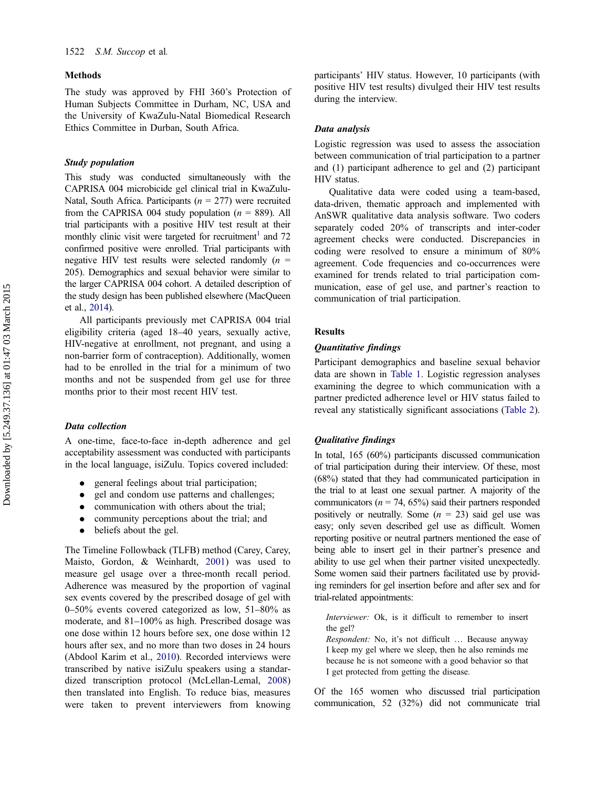## **Methods**

The study was approved by FHI 360's Protection of Human Subjects Committee in Durham, NC, USA and the University of KwaZulu-Natal Biomedical Research Ethics Committee in Durban, South Africa.

### Study population

This study was conducted simultaneously with the CAPRISA 004 microbicide gel clinical trial in KwaZulu-Natal, South Africa. Participants ( $n = 277$ ) were recruited from the CAPRISA 004 study population ( $n = 889$ ). All trial participants with a positive HIV test result at their monthly clinic visit were targeted for recruitment<sup>[1](#page-4-0)</sup> and  $72$ confirmed positive were enrolled. Trial participants with negative HIV test results were selected randomly  $(n =$ 205). Demographics and sexual behavior were similar to the larger CAPRISA 004 cohort. A detailed description of the study design has been published elsewhere (MacQueen et al., [2014](#page-4-0)).

All participants previously met CAPRISA 004 trial eligibility criteria (aged 18–40 years, sexually active, HIV-negative at enrollment, not pregnant, and using a non-barrier form of contraception). Additionally, women had to be enrolled in the trial for a minimum of two months and not be suspended from gel use for three months prior to their most recent HIV test.

#### Data collection

A one-time, face-to-face in-depth adherence and gel acceptability assessment was conducted with participants in the local language, isiZulu. Topics covered included:

- . general feelings about trial participation;
- . gel and condom use patterns and challenges;
- . communication with others about the trial;
- . community perceptions about the trial; and
- beliefs about the gel.

The Timeline Followback (TLFB) method (Carey, Carey, Maisto, Gordon, & Weinhardt, [2001](#page-4-0)) was used to measure gel usage over a three-month recall period. Adherence was measured by the proportion of vaginal sex events covered by the prescribed dosage of gel with 0–50% events covered categorized as low, 51–80% as moderate, and 81–100% as high. Prescribed dosage was one dose within 12 hours before sex, one dose within 12 hours after sex, and no more than two doses in 24 hours (Abdool Karim et al., [2010\)](#page-4-0). Recorded interviews were transcribed by native isiZulu speakers using a standardized transcription protocol (McLellan-Lemal, [2008\)](#page-5-0) then translated into English. To reduce bias, measures were taken to prevent interviewers from knowing

participants' HIV status. However, 10 participants (with positive HIV test results) divulged their HIV test results during the interview.

### Data analysis

Logistic regression was used to assess the association between communication of trial participation to a partner and (1) participant adherence to gel and (2) participant HIV status.

Qualitative data were coded using a team-based, data-driven, thematic approach and implemented with AnSWR qualitative data analysis software. Two coders separately coded 20% of transcripts and inter-coder agreement checks were conducted. Discrepancies in coding were resolved to ensure a minimum of 80% agreement. Code frequencies and co-occurrences were examined for trends related to trial participation communication, ease of gel use, and partner's reaction to communication of trial participation.

### **Results**

#### Quantitative findings

Participant demographics and baseline sexual behavior data are shown in [Table 1](#page-3-0). Logistic regression analyses examining the degree to which communication with a partner predicted adherence level or HIV status failed to reveal any statistically significant associations [\(Table 2](#page-3-0)).

#### Qualitative findings

In total, 165 (60%) participants discussed communication of trial participation during their interview. Of these, most (68%) stated that they had communicated participation in the trial to at least one sexual partner. A majority of the communicators ( $n = 74, 65\%$ ) said their partners responded positively or neutrally. Some  $(n = 23)$  said gel use was easy; only seven described gel use as difficult. Women reporting positive or neutral partners mentioned the ease of being able to insert gel in their partner's presence and ability to use gel when their partner visited unexpectedly. Some women said their partners facilitated use by providing reminders for gel insertion before and after sex and for trial-related appointments:

Interviewer: Ok, is it difficult to remember to insert the gel?

Respondent: No, it's not difficult … Because anyway I keep my gel where we sleep, then he also reminds me because he is not someone with a good behavior so that I get protected from getting the disease.

Of the 165 women who discussed trial participation communication, 52 (32%) did not communicate trial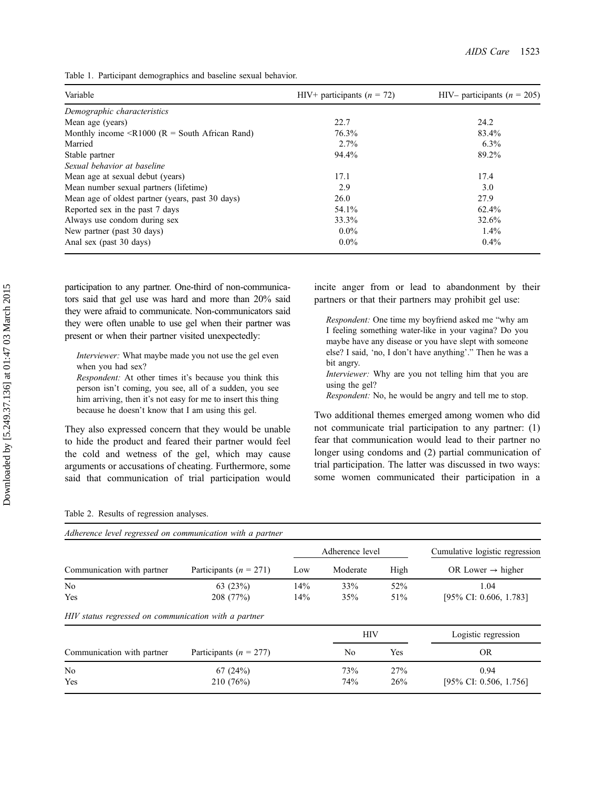<span id="page-3-0"></span>Table 1. Participant demographics and baseline sexual behavior.

| Variable                                                        | HIV+ participants $(n = 72)$ | HIV- participants ( $n = 205$ ) |  |
|-----------------------------------------------------------------|------------------------------|---------------------------------|--|
| Demographic characteristics                                     |                              |                                 |  |
| Mean age (years)                                                | 22.7                         | 24.2                            |  |
| Monthly income $\langle R1000 \rangle$ (R = South African Rand) | 76.3%                        | 83.4%                           |  |
| Married                                                         | $2.7\%$                      | $6.3\%$                         |  |
| Stable partner                                                  | 94.4%                        | 89.2%                           |  |
| Sexual behavior at baseline                                     |                              |                                 |  |
| Mean age at sexual debut (years)                                | 17.1                         | 17.4                            |  |
| Mean number sexual partners (lifetime)                          | 2.9                          | 3.0                             |  |
| Mean age of oldest partner (years, past 30 days)                | 26.0                         | 27.9                            |  |
| Reported sex in the past 7 days                                 | 54.1%                        | 62.4%                           |  |
| Always use condom during sex                                    | 33.3%                        | 32.6%                           |  |
| New partner (past 30 days)                                      | $0.0\%$                      | $1.4\%$                         |  |
| Anal sex (past 30 days)                                         | $0.0\%$                      | $0.4\%$                         |  |

participation to any partner. One-third of non-communicators said that gel use was hard and more than 20% said they were afraid to communicate. Non-communicators said they were often unable to use gel when their partner was present or when their partner visited unexpectedly:

Interviewer: What maybe made you not use the gel even when you had sex?

Respondent: At other times it's because you think this person isn't coming, you see, all of a sudden, you see him arriving, then it's not easy for me to insert this thing because he doesn't know that I am using this gel.

They also expressed concern that they would be unable to hide the product and feared their partner would feel the cold and wetness of the gel, which may cause arguments or accusations of cheating. Furthermore, some said that communication of trial participation would incite anger from or lead to abandonment by their partners or that their partners may prohibit gel use:

Respondent: One time my boyfriend asked me "why am I feeling something water-like in your vagina? Do you maybe have any disease or you have slept with someone else? I said, 'no, I don't have anything'." Then he was a bit angry.

Interviewer: Why are you not telling him that you are using the gel?

Respondent: No, he would be angry and tell me to stop.

Two additional themes emerged among women who did not communicate trial participation to any partner: (1) fear that communication would lead to their partner no longer using condoms and (2) partial communication of trial participation. The latter was discussed in two ways: some women communicated their participation in a

|  | Table 2. Results of regression analyses. |  |
|--|------------------------------------------|--|
|  |                                          |  |

|                                                      | Adherence level regressed on communication with a partner<br>Participants ( $n = 271$ ) | Adherence level |                |      | Cumulative logistic regression |
|------------------------------------------------------|-----------------------------------------------------------------------------------------|-----------------|----------------|------|--------------------------------|
| Communication with partner                           |                                                                                         | Low             | Moderate       | High | OR Lower $\rightarrow$ higher  |
| No                                                   | 63(23%)                                                                                 | 14%             | 33%            | 52%  | 1.04                           |
| Yes                                                  | 208 (77%)                                                                               | 14%             | 35%            | 51%  | [95% CI: 0.606, 1.783]         |
| HIV status regressed on communication with a partner |                                                                                         |                 |                |      |                                |
|                                                      |                                                                                         |                 | <b>HIV</b>     |      | Logistic regression            |
| Communication with partner                           | Participants ( $n = 277$ )                                                              |                 | N <sub>0</sub> | Yes  | <b>OR</b>                      |
| No                                                   | 67(24%)                                                                                 |                 | 73%            | 27%  | 0.94                           |
| Yes                                                  | 210(76%)                                                                                |                 | 74%            | 26%  | [95\% CI: 0.506, 1.756]        |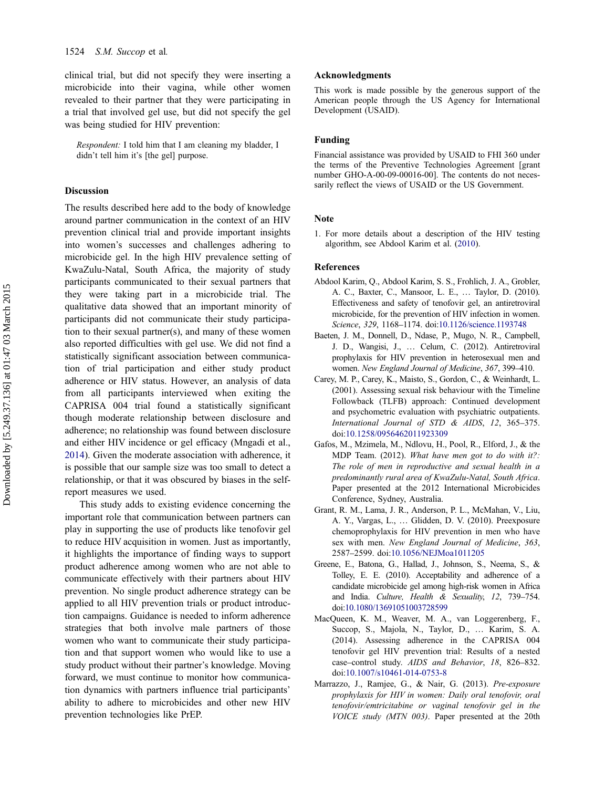<span id="page-4-0"></span>clinical trial, but did not specify they were inserting a microbicide into their vagina, while other women revealed to their partner that they were participating in a trial that involved gel use, but did not specify the gel was being studied for HIV prevention:

Respondent: I told him that I am cleaning my bladder, I didn't tell him it's [the gel] purpose.

#### **Discussion**

The results described here add to the body of knowledge around partner communication in the context of an HIV prevention clinical trial and provide important insights into women's successes and challenges adhering to microbicide gel. In the high HIV prevalence setting of KwaZulu-Natal, South Africa, the majority of study participants communicated to their sexual partners that they were taking part in a microbicide trial. The qualitative data showed that an important minority of participants did not communicate their study participation to their sexual partner(s), and many of these women also reported difficulties with gel use. We did not find a statistically significant association between communication of trial participation and either study product adherence or HIV status. However, an analysis of data from all participants interviewed when exiting the CAPRISA 004 trial found a statistically significant though moderate relationship between disclosure and adherence; no relationship was found between disclosure and either HIV incidence or gel efficacy (Mngadi et al., [2014](#page-5-0)). Given the moderate association with adherence, it is possible that our sample size was too small to detect a relationship, or that it was obscured by biases in the selfreport measures we used.

This study adds to existing evidence concerning the important role that communication between partners can play in supporting the use of products like tenofovir gel to reduce HIV acquisition in women. Just as importantly, it highlights the importance of finding ways to support product adherence among women who are not able to communicate effectively with their partners about HIV prevention. No single product adherence strategy can be applied to all HIV prevention trials or product introduction campaigns. Guidance is needed to inform adherence strategies that both involve male partners of those women who want to communicate their study participation and that support women who would like to use a study product without their partner's knowledge. Moving forward, we must continue to monitor how communication dynamics with partners influence trial participants' ability to adhere to microbicides and other new HIV prevention technologies like PrEP.

#### Acknowledgments

This work is made possible by the generous support of the American people through the US Agency for International Development (USAID).

## Funding

Financial assistance was provided by USAID to FHI 360 under the terms of the Preventive Technologies Agreement [grant number GHO-A-00-09-00016-00]. The contents do not necessarily reflect the views of USAID or the US Government.

#### **Note**

1. For more details about a description of the HIV testing algorithm, see Abdool Karim et al. (2010).

#### References

- Abdool Karim, Q., Abdool Karim, S. S., Frohlich, J. A., Grobler, A. C., Baxter, C., Mansoor, L. E., … Taylor, D. (2010). Effectiveness and safety of tenofovir gel, an antiretroviral microbicide, for the prevention of HIV infection in women. Science, 329, 1168–1174. doi[:10.1126/science.1193748](http://dx.doi.org/10.1126/science.1193748)
- Baeten, J. M., Donnell, D., Ndase, P., Mugo, N. R., Campbell, J. D., Wangisi, J., … Celum, C. (2012). Antiretroviral prophylaxis for HIV prevention in heterosexual men and women. New England Journal of Medicine, 367, 399–410.
- Carey, M. P., Carey, K., Maisto, S., Gordon, C., & Weinhardt, L. (2001). Assessing sexual risk behaviour with the Timeline Followback (TLFB) approach: Continued development and psychometric evaluation with psychiatric outpatients. International Journal of STD & AIDS, 12, 365–375. doi[:10.1258/0956462011923309](http://dx.doi.org/10.1258/0956462011923309)
- Gafos, M., Mzimela, M., Ndlovu, H., Pool, R., Elford, J., & the MDP Team. (2012). What have men got to do with it?: The role of men in reproductive and sexual health in a predominantly rural area of KwaZulu-Natal, South Africa. Paper presented at the 2012 International Microbicides Conference, Sydney, Australia.
- Grant, R. M., Lama, J. R., Anderson, P. L., McMahan, V., Liu, A. Y., Vargas, L., … Glidden, D. V. (2010). Preexposure chemoprophylaxis for HIV prevention in men who have sex with men. New England Journal of Medicine, 363, 2587–2599. doi:[10.1056/NEJMoa1011205](http://dx.doi.org/10.1056/NEJMoa1011205)
- Greene, E., Batona, G., Hallad, J., Johnson, S., Neema, S., & Tolley, E. E. (2010). Acceptability and adherence of a candidate microbicide gel among high-risk women in Africa and India. Culture, Health & Sexuality, 12, 739–754. doi:[10.1080/13691051003728599](http://dx.doi.org/10.1080/13691051003728599)
- MacQueen, K. M., Weaver, M. A., van Loggerenberg, F., Succop, S., Majola, N., Taylor, D., … Karim, S. A. (2014). Assessing adherence in the CAPRISA 004 tenofovir gel HIV prevention trial: Results of a nested case–control study. AIDS and Behavior, 18, 826–832. doi[:10.1007/s10461-014-0753-8](http://dx.doi.org/10.1007/s10461-014-0753-8)
- Marrazzo, J., Ramjee, G., & Nair, G. (2013). Pre-exposure prophylaxis for HIV in women: Daily oral tenofovir, oral tenofovir/emtricitabine or vaginal tenofovir gel in the VOICE study (MTN 003). Paper presented at the 20th